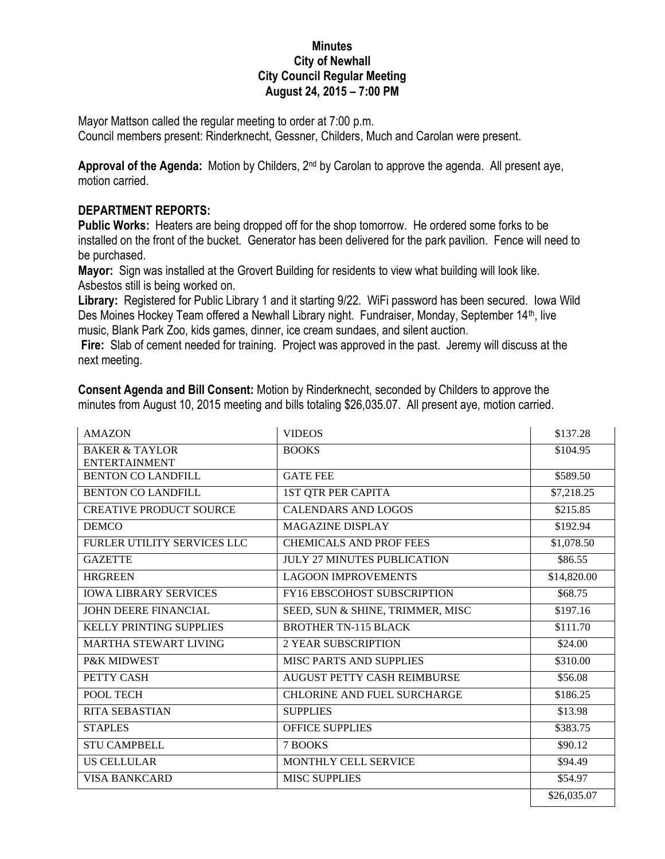## **Minutes City of Newhall City Council Regular Meeting August 24, 2015 – 7:00 PM**

Mayor Mattson called the regular meeting to order at 7:00 p.m. Council members present: Rinderknecht, Gessner, Childers, Much and Carolan were present.

**Approval of the Agenda:** Motion by Childers, 2nd by Carolan to approve the agenda. All present aye, motion carried.

## **DEPARTMENT REPORTS:**

**Public Works:** Heaters are being dropped off for the shop tomorrow. He ordered some forks to be installed on the front of the bucket. Generator has been delivered for the park pavilion. Fence will need to be purchased.

**Mayor:** Sign was installed at the Grovert Building for residents to view what building will look like. Asbestos still is being worked on.

**Library:** Registered for Public Library 1 and it starting 9/22. WiFi password has been secured. Iowa Wild Des Moines Hockey Team offered a Newhall Library night. Fundraiser, Monday, September 14<sup>th</sup>, live music, Blank Park Zoo, kids games, dinner, ice cream sundaes, and silent auction.

**Fire:** Slab of cement needed for training. Project was approved in the past. Jeremy will discuss at the next meeting.

| <b>AMAZON</b>                                     | minutes from August 10, 2015 meeting and bills totaling \$26,035.07. All present aye, motion carried.<br><b>VIDEOS</b> | \$137.28    |
|---------------------------------------------------|------------------------------------------------------------------------------------------------------------------------|-------------|
|                                                   |                                                                                                                        |             |
| <b>BAKER &amp; TAYLOR</b><br><b>ENTERTAINMENT</b> | <b>BOOKS</b>                                                                                                           | \$104.95    |
| <b>BENTON CO LANDFILL</b>                         | <b>GATE FEE</b>                                                                                                        | \$589.50    |
| <b>BENTON CO LANDFILL</b>                         | <b>1ST QTR PER CAPITA</b>                                                                                              | \$7,218.25  |
| <b>CREATIVE PRODUCT SOURCE</b>                    | <b>CALENDARS AND LOGOS</b>                                                                                             | \$215.85    |
| <b>DEMCO</b>                                      | <b>MAGAZINE DISPLAY</b>                                                                                                | \$192.94    |
| FURLER UTILITY SERVICES LLC                       | <b>CHEMICALS AND PROF FEES</b>                                                                                         | \$1,078.50  |
| <b>GAZETTE</b>                                    | <b>JULY 27 MINUTES PUBLICATION</b>                                                                                     | \$86.55     |
| <b>HRGREEN</b>                                    | <b>LAGOON IMPROVEMENTS</b>                                                                                             | \$14,820.00 |
| <b>IOWA LIBRARY SERVICES</b>                      | <b>FY16 EBSCOHOST SUBSCRIPTION</b>                                                                                     | \$68.75     |
| JOHN DEERE FINANCIAL                              | SEED, SUN & SHINE, TRIMMER, MISC                                                                                       | \$197.16    |
| KELLY PRINTING SUPPLIES                           | <b>BROTHER TN-115 BLACK</b>                                                                                            | \$111.70    |
| MARTHA STEWART LIVING                             | <b>2 YEAR SUBSCRIPTION</b>                                                                                             | \$24.00     |
| P&K MIDWEST                                       | <b>MISC PARTS AND SUPPLIES</b>                                                                                         | \$310.00    |
| PETTY CASH                                        | <b>AUGUST PETTY CASH REIMBURSE</b>                                                                                     | \$56.08     |
| POOL TECH                                         | <b>CHLORINE AND FUEL SURCHARGE</b>                                                                                     | \$186.25    |
| <b>RITA SEBASTIAN</b>                             | <b>SUPPLIES</b>                                                                                                        | \$13.98     |
| <b>STAPLES</b>                                    | <b>OFFICE SUPPLIES</b>                                                                                                 | \$383.75    |
| <b>STU CAMPBELL</b>                               | 7 BOOKS                                                                                                                | \$90.12     |
| <b>US CELLULAR</b>                                | MONTHLY CELL SERVICE                                                                                                   | \$94.49     |
| <b>VISA BANKCARD</b>                              | <b>MISC SUPPLIES</b>                                                                                                   | \$54.97     |
|                                                   |                                                                                                                        | \$26,035.07 |

**Consent Agenda and Bill Consent:** Motion by Rinderknecht, seconded by Childers to approve the minutes from August 10, 2015 meeting and bills totaling \$26,035.07. All present aye, motion carried.